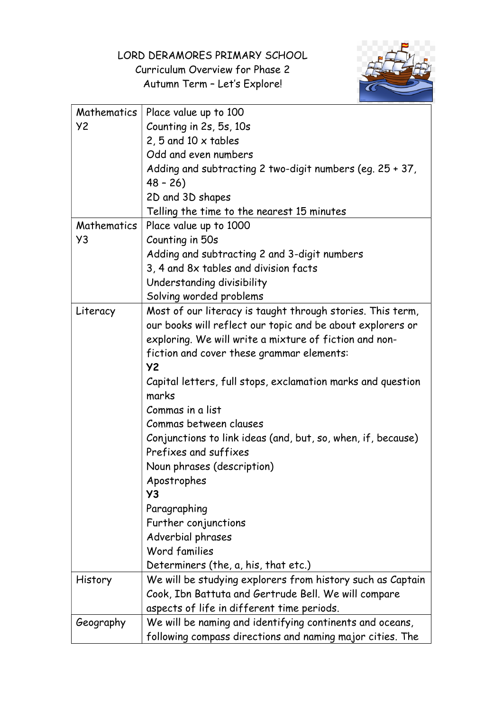LORD DERAMORES PRIMARY SCHOOL

Curriculum Overview for Phase 2 Autumn Term – Let's Explore!



| Mathematics | Place value up to 100                                        |
|-------------|--------------------------------------------------------------|
| Y2          | Counting in 2s, 5s, 10s                                      |
|             | 2, 5 and 10 $\times$ tables                                  |
|             | Odd and even numbers                                         |
|             | Adding and subtracting 2 two-digit numbers (eg. $25 + 37$ ,  |
|             | $48 - 26$                                                    |
|             | 2D and 3D shapes                                             |
|             | Telling the time to the nearest 15 minutes                   |
| Mathematics | Place value up to 1000                                       |
| Y3          | Counting in 50s                                              |
|             | Adding and subtracting 2 and 3-digit numbers                 |
|             | 3, 4 and 8x tables and division facts                        |
|             | Understanding divisibility                                   |
|             | Solving worded problems                                      |
| Literacy    | Most of our literacy is taught through stories. This term,   |
|             | our books will reflect our topic and be about explorers or   |
|             | exploring. We will write a mixture of fiction and non-       |
|             | fiction and cover these grammar elements:                    |
|             | <b>Y2</b>                                                    |
|             | Capital letters, full stops, exclamation marks and question  |
|             | marks                                                        |
|             | Commas in a list                                             |
|             | Commas between clauses                                       |
|             | Conjunctions to link ideas (and, but, so, when, if, because) |
|             | Prefixes and suffixes                                        |
|             | Noun phrases (description)                                   |
|             | Apostrophes                                                  |
|             | Y3                                                           |
|             | Paragraphing                                                 |
|             | Further conjunctions                                         |
|             | Adverbial phrases                                            |
|             | Word families                                                |
|             | Determiners (the, a, his, that etc.)                         |
| History     | We will be studying explorers from history such as Captain   |
|             | Cook, Ibn Battuta and Gertrude Bell. We will compare         |
|             | aspects of life in different time periods.                   |
| Geography   | We will be naming and identifying continents and oceans,     |
|             | following compass directions and naming major cities. The    |